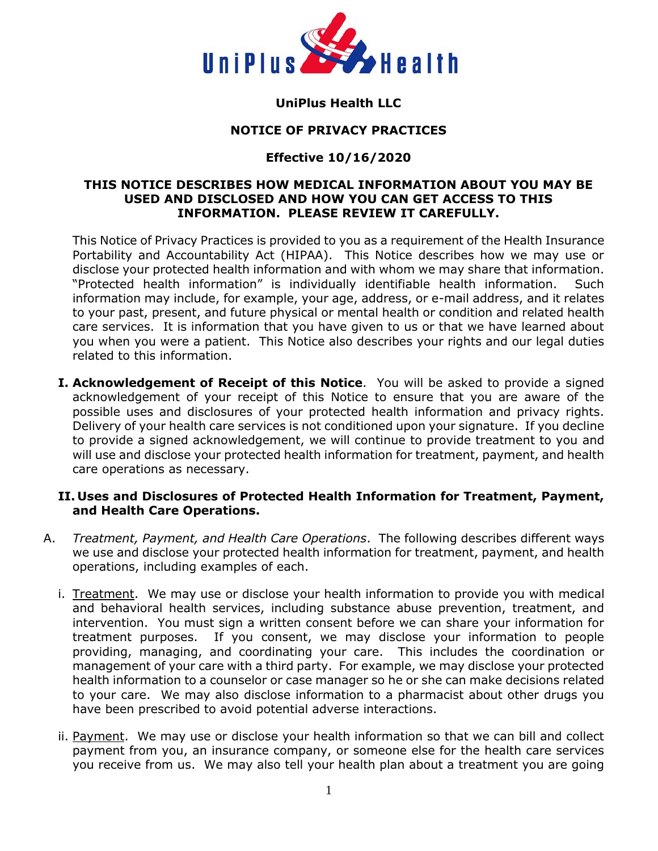

# **UniPlus Health LLC**

### **NOTICE OF PRIVACY PRACTICES**

## **Effective 10/16/2020**

### **THIS NOTICE DESCRIBES HOW MEDICAL INFORMATION ABOUT YOU MAY BE USED AND DISCLOSED AND HOW YOU CAN GET ACCESS TO THIS INFORMATION. PLEASE REVIEW IT CAREFULLY.**

This Notice of Privacy Practices is provided to you as a requirement of the Health Insurance Portability and Accountability Act (HIPAA). This Notice describes how we may use or disclose your protected health information and with whom we may share that information. "Protected health information" is individually identifiable health information. Such information may include, for example, your age, address, or e-mail address, and it relates to your past, present, and future physical or mental health or condition and related health care services. It is information that you have given to us or that we have learned about you when you were a patient. This Notice also describes your rights and our legal duties related to this information.

**I. Acknowledgement of Receipt of this Notice**. You will be asked to provide a signed acknowledgement of your receipt of this Notice to ensure that you are aware of the possible uses and disclosures of your protected health information and privacy rights. Delivery of your health care services is not conditioned upon your signature. If you decline to provide a signed acknowledgement, we will continue to provide treatment to you and will use and disclose your protected health information for treatment, payment, and health care operations as necessary.

### **II. Uses and Disclosures of Protected Health Information for Treatment, Payment, and Health Care Operations.**

- A. *Treatment, Payment, and Health Care Operations*. The following describes different ways we use and disclose your protected health information for treatment, payment, and health operations, including examples of each.
	- i. Treatment. We may use or disclose your health information to provide you with medical and behavioral health services, including substance abuse prevention, treatment, and intervention. You must sign a written consent before we can share your information for treatment purposes. If you consent, we may disclose your information to people providing, managing, and coordinating your care. This includes the coordination or management of your care with a third party. For example, we may disclose your protected health information to a counselor or case manager so he or she can make decisions related to your care. We may also disclose information to a pharmacist about other drugs you have been prescribed to avoid potential adverse interactions.
	- ii. Payment. We may use or disclose your health information so that we can bill and collect payment from you, an insurance company, or someone else for the health care services you receive from us. We may also tell your health plan about a treatment you are going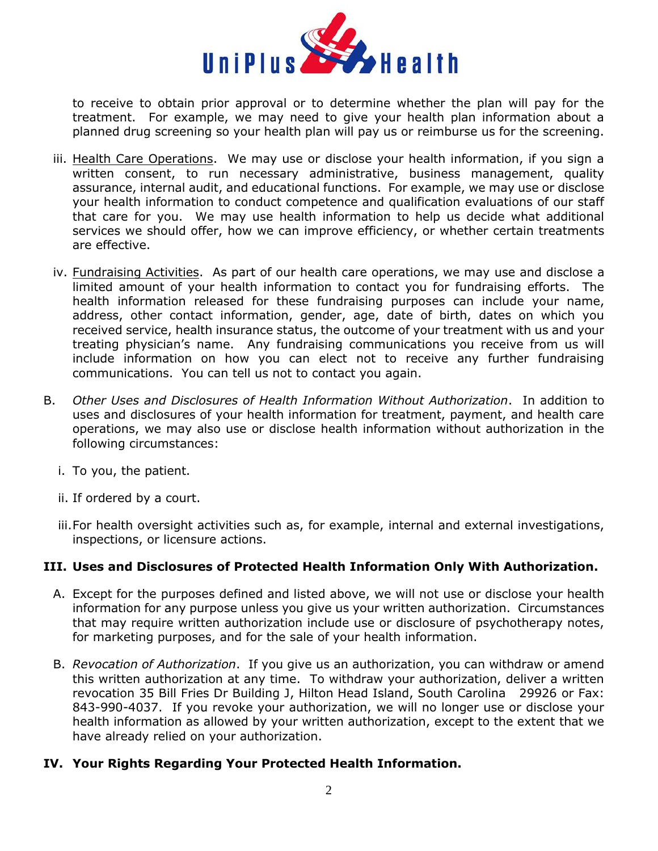

to receive to obtain prior approval or to determine whether the plan will pay for the treatment. For example, we may need to give your health plan information about a planned drug screening so your health plan will pay us or reimburse us for the screening.

- iii. Health Care Operations. We may use or disclose your health information, if you sign a written consent, to run necessary administrative, business management, quality assurance, internal audit, and educational functions. For example, we may use or disclose your health information to conduct competence and qualification evaluations of our staff that care for you. We may use health information to help us decide what additional services we should offer, how we can improve efficiency, or whether certain treatments are effective.
- iv. Fundraising Activities. As part of our health care operations, we may use and disclose a limited amount of your health information to contact you for fundraising efforts. The health information released for these fundraising purposes can include your name, address, other contact information, gender, age, date of birth, dates on which you received service, health insurance status, the outcome of your treatment with us and your treating physician's name. Any fundraising communications you receive from us will include information on how you can elect not to receive any further fundraising communications. You can tell us not to contact you again.
- B. *Other Uses and Disclosures of Health Information Without Authorization*. In addition to uses and disclosures of your health information for treatment, payment, and health care operations, we may also use or disclose health information without authorization in the following circumstances:
	- i. To you, the patient.
	- ii. If ordered by a court.
	- iii. For health oversight activities such as, for example, internal and external investigations, inspections, or licensure actions.

### **III. Uses and Disclosures of Protected Health Information Only With Authorization.**

- A. Except for the purposes defined and listed above, we will not use or disclose your health information for any purpose unless you give us your written authorization. Circumstances that may require written authorization include use or disclosure of psychotherapy notes, for marketing purposes, and for the sale of your health information.
- B. *Revocation of Authorization*. If you give us an authorization, you can withdraw or amend this written authorization at any time. To withdraw your authorization, deliver a written revocation 35 Bill Fries Dr Building J, Hilton Head Island, South Carolina 29926 or Fax: 843-990-4037. If you revoke your authorization, we will no longer use or disclose your health information as allowed by your written authorization, except to the extent that we have already relied on your authorization.

### **IV. Your Rights Regarding Your Protected Health Information.**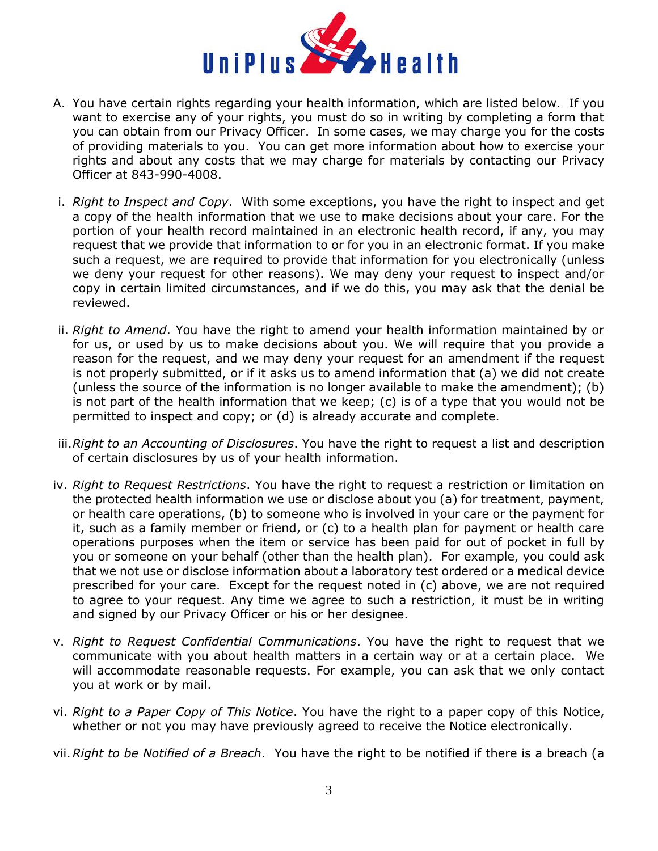

- A. You have certain rights regarding your health information, which are listed below. If you want to exercise any of your rights, you must do so in writing by completing a form that you can obtain from our Privacy Officer. In some cases, we may charge you for the costs of providing materials to you. You can get more information about how to exercise your rights and about any costs that we may charge for materials by contacting our Privacy Officer at 843-990-4008.
- i. *Right to Inspect and Copy*. With some exceptions, you have the right to inspect and get a copy of the health information that we use to make decisions about your care. For the portion of your health record maintained in an electronic health record, if any, you may request that we provide that information to or for you in an electronic format. If you make such a request, we are required to provide that information for you electronically (unless we deny your request for other reasons). We may deny your request to inspect and/or copy in certain limited circumstances, and if we do this, you may ask that the denial be reviewed.
- ii. *Right to Amend*. You have the right to amend your health information maintained by or for us, or used by us to make decisions about you. We will require that you provide a reason for the request, and we may deny your request for an amendment if the request is not properly submitted, or if it asks us to amend information that (a) we did not create (unless the source of the information is no longer available to make the amendment); (b) is not part of the health information that we keep; (c) is of a type that you would not be permitted to inspect and copy; or (d) is already accurate and complete.
- iii.*Right to an Accounting of Disclosures*. You have the right to request a list and description of certain disclosures by us of your health information.
- iv. *Right to Request Restrictions*. You have the right to request a restriction or limitation on the protected health information we use or disclose about you (a) for treatment, payment, or health care operations, (b) to someone who is involved in your care or the payment for it, such as a family member or friend, or (c) to a health plan for payment or health care operations purposes when the item or service has been paid for out of pocket in full by you or someone on your behalf (other than the health plan). For example, you could ask that we not use or disclose information about a laboratory test ordered or a medical device prescribed for your care. Except for the request noted in (c) above, we are not required to agree to your request. Any time we agree to such a restriction, it must be in writing and signed by our Privacy Officer or his or her designee.
- v. *Right to Request Confidential Communications*. You have the right to request that we communicate with you about health matters in a certain way or at a certain place. We will accommodate reasonable requests. For example, you can ask that we only contact you at work or by mail.
- vi. *Right to a Paper Copy of This Notice*. You have the right to a paper copy of this Notice, whether or not you may have previously agreed to receive the Notice electronically.
- vii.*Right to be Notified of a Breach*. You have the right to be notified if there is a breach (a